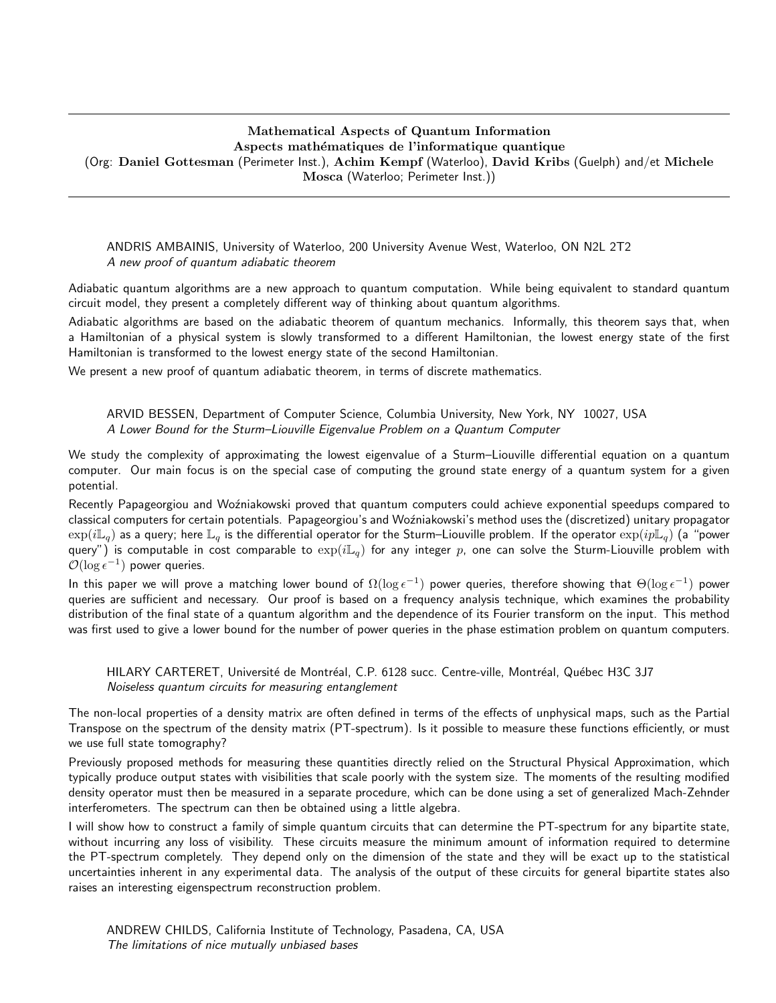# Mathematical Aspects of Quantum Information Aspects mathématiques de l'informatique quantique

(Org: Daniel Gottesman (Perimeter Inst.), Achim Kempf (Waterloo), David Kribs (Guelph) and/et Michele Mosca (Waterloo; Perimeter Inst.))

ANDRIS AMBAINIS, University of Waterloo, 200 University Avenue West, Waterloo, ON N2L 2T2 A new proof of quantum adiabatic theorem

Adiabatic quantum algorithms are a new approach to quantum computation. While being equivalent to standard quantum circuit model, they present a completely different way of thinking about quantum algorithms.

Adiabatic algorithms are based on the adiabatic theorem of quantum mechanics. Informally, this theorem says that, when a Hamiltonian of a physical system is slowly transformed to a different Hamiltonian, the lowest energy state of the first Hamiltonian is transformed to the lowest energy state of the second Hamiltonian.

We present a new proof of quantum adiabatic theorem, in terms of discrete mathematics.

ARVID BESSEN, Department of Computer Science, Columbia University, New York, NY 10027, USA A Lower Bound for the Sturm–Liouville Eigenvalue Problem on a Quantum Computer

We study the complexity of approximating the lowest eigenvalue of a Sturm–Liouville differential equation on a quantum computer. Our main focus is on the special case of computing the ground state energy of a quantum system for a given potential.

Recently Papageorgiou and Woźniakowski proved that quantum computers could achieve exponential speedups compared to classical computers for certain potentials. Papageorgiou's and Wo´zniakowski's method uses the (discretized) unitary propagator  $\exp(i\mathbb{L}_q)$  as a query; here  $\mathbb{L}_q$  is the differential operator for the Sturm–Liouville problem. If the operator  $\exp(i\mathbb{L}_q)$  (a "power query") is computable in cost comparable to  $\exp(i\mathbb{L}_q)$  for any integer p, one can solve the Sturm-Liouville problem with  $\mathcal{O}(\log \epsilon^{-1})$  power queries.

In this paper we will prove a matching lower bound of  $\Omega(\log \epsilon^{-1})$  power queries, therefore showing that  $\Theta(\log \epsilon^{-1})$  power queries are sufficient and necessary. Our proof is based on a frequency analysis technique, which examines the probability distribution of the final state of a quantum algorithm and the dependence of its Fourier transform on the input. This method was first used to give a lower bound for the number of power queries in the phase estimation problem on quantum computers.

HILARY CARTERET, Université de Montréal, C.P. 6128 succ. Centre-ville, Montréal, Québec H3C 3J7 Noiseless quantum circuits for measuring entanglement

The non-local properties of a density matrix are often defined in terms of the effects of unphysical maps, such as the Partial Transpose on the spectrum of the density matrix (PT-spectrum). Is it possible to measure these functions efficiently, or must we use full state tomography?

Previously proposed methods for measuring these quantities directly relied on the Structural Physical Approximation, which typically produce output states with visibilities that scale poorly with the system size. The moments of the resulting modified density operator must then be measured in a separate procedure, which can be done using a set of generalized Mach-Zehnder interferometers. The spectrum can then be obtained using a little algebra.

I will show how to construct a family of simple quantum circuits that can determine the PT-spectrum for any bipartite state, without incurring any loss of visibility. These circuits measure the minimum amount of information required to determine the PT-spectrum completely. They depend only on the dimension of the state and they will be exact up to the statistical uncertainties inherent in any experimental data. The analysis of the output of these circuits for general bipartite states also raises an interesting eigenspectrum reconstruction problem.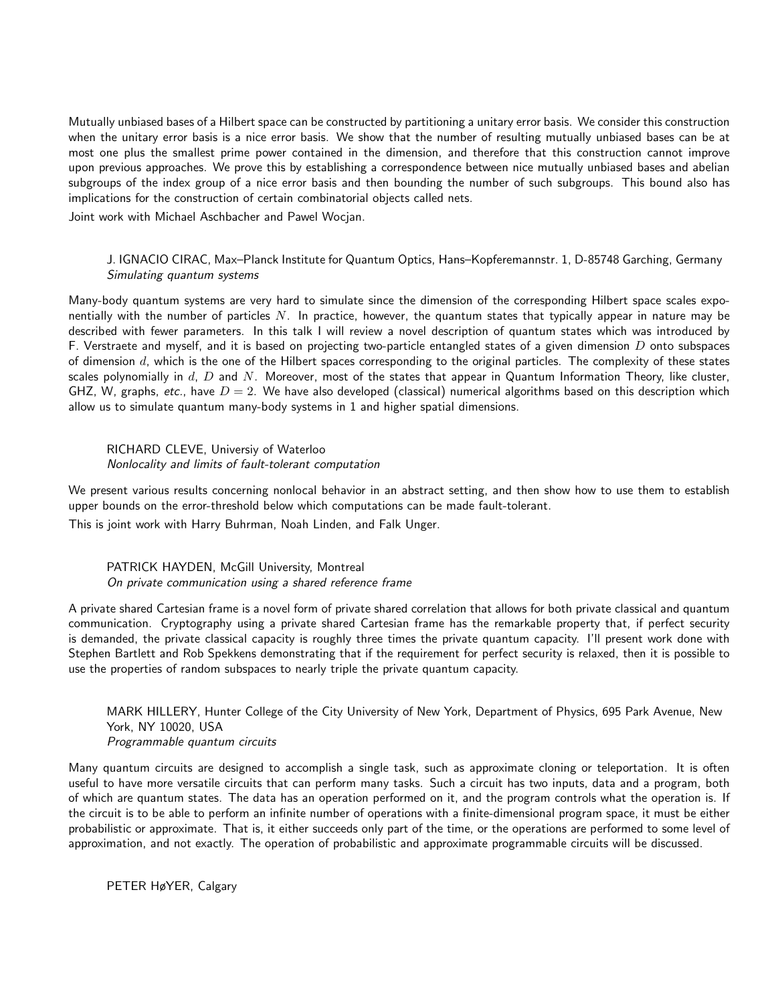Mutually unbiased bases of a Hilbert space can be constructed by partitioning a unitary error basis. We consider this construction when the unitary error basis is a nice error basis. We show that the number of resulting mutually unbiased bases can be at most one plus the smallest prime power contained in the dimension, and therefore that this construction cannot improve upon previous approaches. We prove this by establishing a correspondence between nice mutually unbiased bases and abelian subgroups of the index group of a nice error basis and then bounding the number of such subgroups. This bound also has implications for the construction of certain combinatorial objects called nets.

Joint work with Michael Aschbacher and Pawel Wocjan.

## J. IGNACIO CIRAC, Max–Planck Institute for Quantum Optics, Hans–Kopferemannstr. 1, D-85748 Garching, Germany Simulating quantum systems

Many-body quantum systems are very hard to simulate since the dimension of the corresponding Hilbert space scales exponentially with the number of particles  $N$ . In practice, however, the quantum states that typically appear in nature may be described with fewer parameters. In this talk I will review a novel description of quantum states which was introduced by F. Verstraete and myself, and it is based on projecting two-particle entangled states of a given dimension  $D$  onto subspaces of dimension  $d$ , which is the one of the Hilbert spaces corresponding to the original particles. The complexity of these states scales polynomially in  $d$ ,  $D$  and  $N$ . Moreover, most of the states that appear in Quantum Information Theory, like cluster, GHZ, W, graphs, etc., have  $D = 2$ . We have also developed (classical) numerical algorithms based on this description which allow us to simulate quantum many-body systems in 1 and higher spatial dimensions.

## RICHARD CLEVE, Universiy of Waterloo Nonlocality and limits of fault-tolerant computation

We present various results concerning nonlocal behavior in an abstract setting, and then show how to use them to establish upper bounds on the error-threshold below which computations can be made fault-tolerant.

This is joint work with Harry Buhrman, Noah Linden, and Falk Unger.

PATRICK HAYDEN, McGill University, Montreal On private communication using a shared reference frame

A private shared Cartesian frame is a novel form of private shared correlation that allows for both private classical and quantum communication. Cryptography using a private shared Cartesian frame has the remarkable property that, if perfect security is demanded, the private classical capacity is roughly three times the private quantum capacity. I'll present work done with Stephen Bartlett and Rob Spekkens demonstrating that if the requirement for perfect security is relaxed, then it is possible to use the properties of random subspaces to nearly triple the private quantum capacity.

MARK HILLERY, Hunter College of the City University of New York, Department of Physics, 695 Park Avenue, New York, NY 10020, USA Programmable quantum circuits

Many quantum circuits are designed to accomplish a single task, such as approximate cloning or teleportation. It is often useful to have more versatile circuits that can perform many tasks. Such a circuit has two inputs, data and a program, both of which are quantum states. The data has an operation performed on it, and the program controls what the operation is. If the circuit is to be able to perform an infinite number of operations with a finite-dimensional program space, it must be either probabilistic or approximate. That is, it either succeeds only part of the time, or the operations are performed to some level of approximation, and not exactly. The operation of probabilistic and approximate programmable circuits will be discussed.

PETER HøYER, Calgary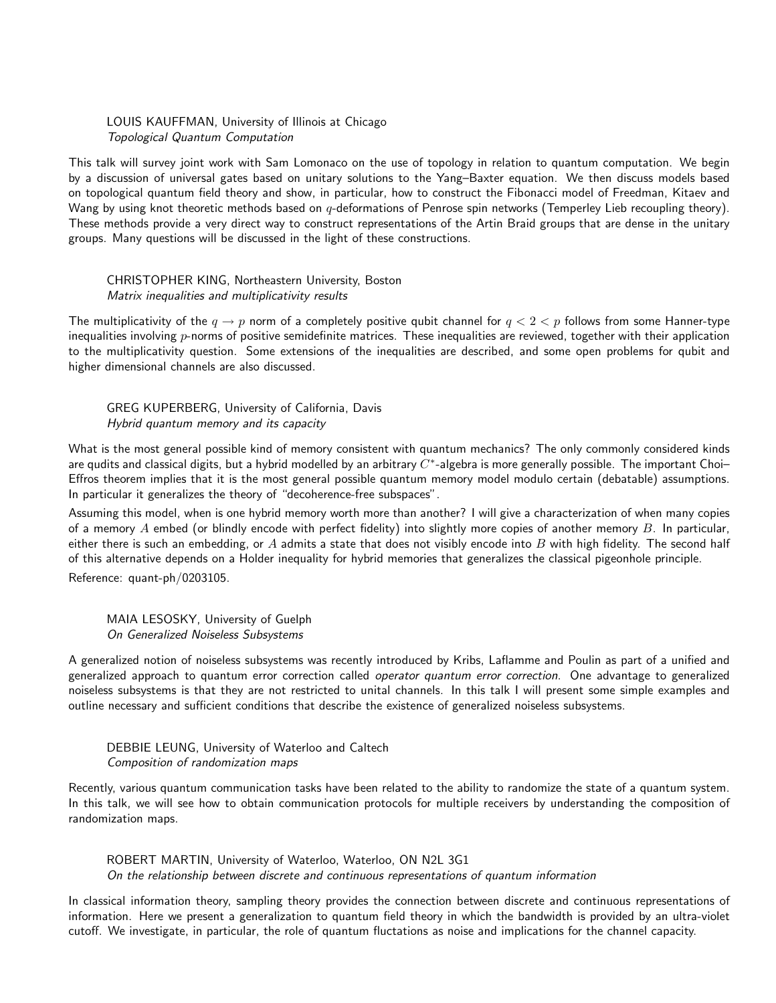LOUIS KAUFFMAN, University of Illinois at Chicago Topological Quantum Computation

This talk will survey joint work with Sam Lomonaco on the use of topology in relation to quantum computation. We begin by a discussion of universal gates based on unitary solutions to the Yang–Baxter equation. We then discuss models based on topological quantum field theory and show, in particular, how to construct the Fibonacci model of Freedman, Kitaev and Wang by using knot theoretic methods based on  $q$ -deformations of Penrose spin networks (Temperley Lieb recoupling theory). These methods provide a very direct way to construct representations of the Artin Braid groups that are dense in the unitary groups. Many questions will be discussed in the light of these constructions.

## CHRISTOPHER KING, Northeastern University, Boston Matrix inequalities and multiplicativity results

The multiplicativity of the  $q \to p$  norm of a completely positive qubit channel for  $q < 2 < p$  follows from some Hanner-type inequalities involving  $p$ -norms of positive semidefinite matrices. These inequalities are reviewed, together with their application to the multiplicativity question. Some extensions of the inequalities are described, and some open problems for qubit and higher dimensional channels are also discussed.

## GREG KUPERBERG, University of California, Davis Hybrid quantum memory and its capacity

What is the most general possible kind of memory consistent with quantum mechanics? The only commonly considered kinds are qudits and classical digits, but a hybrid modelled by an arbitrary  $C^*$ -algebra is more generally possible. The important Choi– Effros theorem implies that it is the most general possible quantum memory model modulo certain (debatable) assumptions. In particular it generalizes the theory of "decoherence-free subspaces".

Assuming this model, when is one hybrid memory worth more than another? I will give a characterization of when many copies of a memory  $A$  embed (or blindly encode with perfect fidelity) into slightly more copies of another memory  $B$ . In particular, either there is such an embedding, or  $A$  admits a state that does not visibly encode into  $B$  with high fidelity. The second half of this alternative depends on a Holder inequality for hybrid memories that generalizes the classical pigeonhole principle.

Reference: quant-ph/0203105.

MAIA LESOSKY, University of Guelph On Generalized Noiseless Subsystems

A generalized notion of noiseless subsystems was recently introduced by Kribs, Laflamme and Poulin as part of a unified and generalized approach to quantum error correction called operator quantum error correction. One advantage to generalized noiseless subsystems is that they are not restricted to unital channels. In this talk I will present some simple examples and outline necessary and sufficient conditions that describe the existence of generalized noiseless subsystems.

## DEBBIE LEUNG, University of Waterloo and Caltech Composition of randomization maps

Recently, various quantum communication tasks have been related to the ability to randomize the state of a quantum system. In this talk, we will see how to obtain communication protocols for multiple receivers by understanding the composition of randomization maps.

ROBERT MARTIN, University of Waterloo, Waterloo, ON N2L 3G1 On the relationship between discrete and continuous representations of quantum information

In classical information theory, sampling theory provides the connection between discrete and continuous representations of information. Here we present a generalization to quantum field theory in which the bandwidth is provided by an ultra-violet cutoff. We investigate, in particular, the role of quantum fluctations as noise and implications for the channel capacity.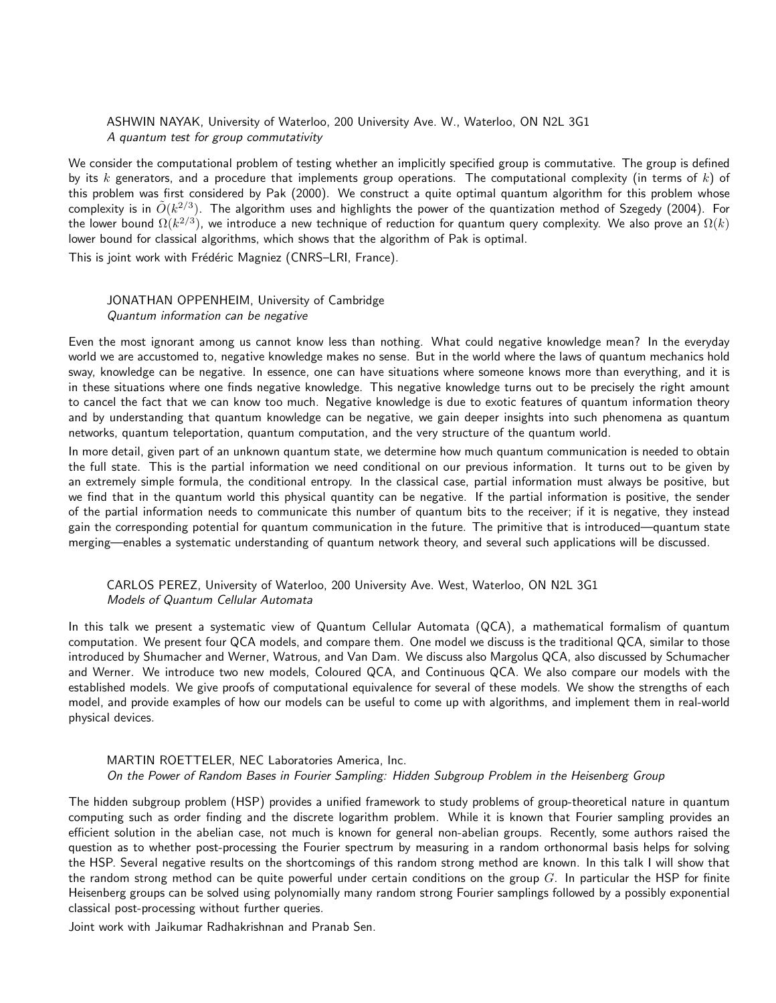ASHWIN NAYAK, University of Waterloo, 200 University Ave. W., Waterloo, ON N2L 3G1 A quantum test for group commutativity

We consider the computational problem of testing whether an implicitly specified group is commutative. The group is defined by its k generators, and a procedure that implements group operations. The computational complexity (in terms of k) of this problem was first considered by Pak (2000). We construct a quite optimal quantum algorithm for this problem whose complexity is in  $\tilde O(k^{2/3})$ . The algorithm uses and highlights the power of the quantization method of Szegedy (2004). For the lower bound  $\Omega(k^{2/3})$ , we introduce a new technique of reduction for quantum query complexity. We also prove an  $\Omega(k)$ lower bound for classical algorithms, which shows that the algorithm of Pak is optimal.

This is joint work with Frédéric Magniez (CNRS–LRI, France).

#### JONATHAN OPPENHEIM, University of Cambridge Quantum information can be negative

Even the most ignorant among us cannot know less than nothing. What could negative knowledge mean? In the everyday world we are accustomed to, negative knowledge makes no sense. But in the world where the laws of quantum mechanics hold sway, knowledge can be negative. In essence, one can have situations where someone knows more than everything, and it is in these situations where one finds negative knowledge. This negative knowledge turns out to be precisely the right amount to cancel the fact that we can know too much. Negative knowledge is due to exotic features of quantum information theory and by understanding that quantum knowledge can be negative, we gain deeper insights into such phenomena as quantum networks, quantum teleportation, quantum computation, and the very structure of the quantum world.

In more detail, given part of an unknown quantum state, we determine how much quantum communication is needed to obtain the full state. This is the partial information we need conditional on our previous information. It turns out to be given by an extremely simple formula, the conditional entropy. In the classical case, partial information must always be positive, but we find that in the quantum world this physical quantity can be negative. If the partial information is positive, the sender of the partial information needs to communicate this number of quantum bits to the receiver; if it is negative, they instead gain the corresponding potential for quantum communication in the future. The primitive that is introduced—quantum state merging—enables a systematic understanding of quantum network theory, and several such applications will be discussed.

## CARLOS PEREZ, University of Waterloo, 200 University Ave. West, Waterloo, ON N2L 3G1 Models of Quantum Cellular Automata

In this talk we present a systematic view of Quantum Cellular Automata (QCA), a mathematical formalism of quantum computation. We present four QCA models, and compare them. One model we discuss is the traditional QCA, similar to those introduced by Shumacher and Werner, Watrous, and Van Dam. We discuss also Margolus QCA, also discussed by Schumacher and Werner. We introduce two new models, Coloured QCA, and Continuous QCA. We also compare our models with the established models. We give proofs of computational equivalence for several of these models. We show the strengths of each model, and provide examples of how our models can be useful to come up with algorithms, and implement them in real-world physical devices.

## MARTIN ROETTELER, NEC Laboratories America, Inc. On the Power of Random Bases in Fourier Sampling: Hidden Subgroup Problem in the Heisenberg Group

The hidden subgroup problem (HSP) provides a unified framework to study problems of group-theoretical nature in quantum computing such as order finding and the discrete logarithm problem. While it is known that Fourier sampling provides an efficient solution in the abelian case, not much is known for general non-abelian groups. Recently, some authors raised the question as to whether post-processing the Fourier spectrum by measuring in a random orthonormal basis helps for solving the HSP. Several negative results on the shortcomings of this random strong method are known. In this talk I will show that the random strong method can be quite powerful under certain conditions on the group  $G$ . In particular the HSP for finite Heisenberg groups can be solved using polynomially many random strong Fourier samplings followed by a possibly exponential classical post-processing without further queries.

Joint work with Jaikumar Radhakrishnan and Pranab Sen.